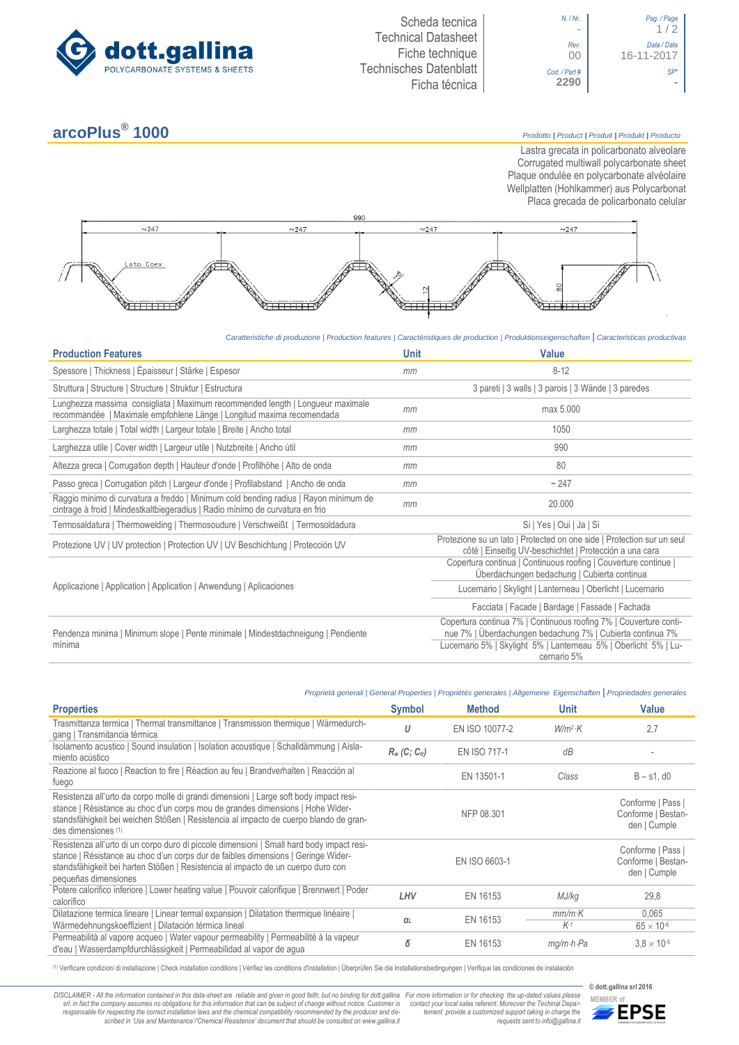



## **arcoPlus®**

**1000** *Prodotto <sup>|</sup> Product <sup>|</sup> Produit <sup>|</sup> Produkt <sup>|</sup> Producto*

Lastra grecata in policarbonato alveolare Corrugated multiwall polycarbonate sheet Plaque ondulée en polycarbonate alvéolaire Wellplatten (Hohlkammer) aus Polycarbonat Placa grecada de policarbonato celular



*Caratteristiche di produzione | Production features | Caractéristiques de production | Produktionseigenschaften* **|** *Caracteristicas productivas*

| <b>Production Features</b>                                                                                                                                            | <b>Unit</b> | <b>Value</b>                                                                                                                      |
|-----------------------------------------------------------------------------------------------------------------------------------------------------------------------|-------------|-----------------------------------------------------------------------------------------------------------------------------------|
| Spessore   Thickness   Épaisseur   Stärke   Espesor                                                                                                                   | mm          | $8 - 12$                                                                                                                          |
| Struttura   Structure   Structure   Struktur   Estructura                                                                                                             |             | 3 pareti   3 walls   3 parois   3 Wände   3 paredes                                                                               |
| Lunghezza massima consigliata   Maximum recommended length   Longueur maximale<br>recommandée   Maximale empfohlene Länge   Longitud maxima recomendada               | mm          | max 5.000                                                                                                                         |
| Larghezza totale   Total width   Largeur totale   Breite   Ancho total                                                                                                | mm          | 1050                                                                                                                              |
| Larghezza utile   Cover width   Largeur utile   Nutzbreite   Ancho útil                                                                                               | mm          | 990                                                                                                                               |
| Altezza greca   Corrugation depth   Hauteur d'onde   Profilhöhe   Alto de onda                                                                                        | mm          | 80                                                                                                                                |
| Passo greca   Corrugation pitch   Largeur d'onde   Profilabstand   Ancho de onda                                                                                      | mm          | ~247                                                                                                                              |
| Raggio minimo di curvatura a freddo   Minimum cold bending radius   Rayon minimum de<br>cintrage à froid   Mindestkaltbiegeradius   Radio mínimo de curvatura en frio | mm          | 20.000                                                                                                                            |
| Termosaldatura   Thermowelding   Thermosoudure   Verschweißt   Termosoldadura                                                                                         |             | Si   Yes   Oui   Ja   Si                                                                                                          |
| Protezione UV   UV protection   Protection UV   UV Beschichtung   Protección UV                                                                                       |             | Protezione su un lato   Protected on one side   Protection sur un seul<br>côté   Einseitig UV-beschichtet   Protección a una cara |
|                                                                                                                                                                       |             | Copertura continua   Continuous roofing   Couverture continue  <br>Überdachungen bedachung   Cubierta continua                    |
| Applicazione   Application   Application   Anwendung   Aplicaciones                                                                                                   |             | Lucernario   Skylight   Lanterneau   Oberlicht   Lucernario                                                                       |
|                                                                                                                                                                       |             | Facciata   Facade   Bardage   Fassade   Fachada                                                                                   |
| Pendenza minima   Minimum slope   Pente minimale   Mindestdachneigung   Pendiente<br>mínima                                                                           |             | Copertura continua 7%   Continuous roofing 7%   Couverture conti-<br>nue 7%   Überdachungen bedachung 7%   Cubierta continua 7%   |
|                                                                                                                                                                       |             | Lucernario 5%   Skylight 5%   Lanterneau 5%   Oberlicht 5%   Lu-<br>cernario 5%                                                   |

|                                                                                                                                                                                                                                                                                            |                             | Proprietà generali   General Properties   Propriétés generales   Allgemeine Eigenschaften   Propriedades generales |                         |                                                         |
|--------------------------------------------------------------------------------------------------------------------------------------------------------------------------------------------------------------------------------------------------------------------------------------------|-----------------------------|--------------------------------------------------------------------------------------------------------------------|-------------------------|---------------------------------------------------------|
| <b>Properties</b>                                                                                                                                                                                                                                                                          | <b>Symbol</b>               | <b>Method</b>                                                                                                      | <b>Unit</b>             | <b>Value</b>                                            |
| Trasmittanza termica   Thermal transmittance   Transmission thermique   Wärmedurch-<br>gang   Transmitancia térmica                                                                                                                                                                        | U                           | EN ISO 10077-2                                                                                                     | $W/m^2$ K               | 2,7                                                     |
| Isolamento acustico   Sound insulation   Isolation acoustique   Schalldämmung   Aisla-<br>miento acústico                                                                                                                                                                                  | $R_w$ (C; C <sub>tr</sub> ) | <b>EN ISO 717-1</b>                                                                                                | dB                      |                                                         |
| Reazione al fuoco   Reaction to fire   Réaction au feu   Brandverhalten   Reacción al<br>fuego                                                                                                                                                                                             |                             | EN 13501-1                                                                                                         | Class                   | $B - s1$ , d $0$                                        |
| Resistenza all'urto da corpo molle di grandi dimensioni   Large soft body impact resi-<br>stance   Résistance au choc d'un corps mou de grandes dimensions   Hohe Wider-<br>standsfähigkeit bei weichen Stößen   Resistencia al impacto de cuerpo blando de gran-<br>des dimensiones (1)   |                             | NFP 08.301                                                                                                         |                         | Conforme   Pass  <br>Conforme   Bestan-<br>den   Cumple |
| Resistenza all'urto di un corpo duro di piccole dimensioni   Small hard body impact resi-<br>stance   Résistance au choc d'un corps dur de faibles dimensions   Geringe Wider-<br>standsfähigkeit bei harten Stößen   Resistencia al impacto de un cuerpo duro con<br>pequeñas dimensiones |                             | EN ISO 6603-1                                                                                                      |                         | Conforme   Pass  <br>Conforme   Bestan-<br>den   Cumple |
| Potere calorifico inferiore   Lower heating value   Pouvoir calorifique   Brennwert   Poder<br>calorífico                                                                                                                                                                                  | LHV                         | EN 16153                                                                                                           | MJ/kg                   | 29,8                                                    |
| Dilatazione termica lineare   Linear termal expansion   Dilatation thermique linéaire<br>Wärmedehnungskoeffizient   Dilatación térmica lineal                                                                                                                                              | αι                          | EN 16153                                                                                                           | $mm/m\cdot K$<br>$K-1$  | 0.065<br>$65 \times 10^{-6}$                            |
| Permeabilità al vapore acqueo   Water vapour permeability   Permeabilité à la vapeur<br>d'eau   Wasserdampfdurchlässigkeit   Permeabilidad al vapor de agua                                                                                                                                | δ                           | EN 16153                                                                                                           | $mq/m \cdot h \cdot Pa$ | $3.8 \times 10^{-5}$                                    |

(1) Verificare condizioni di installazione | Check installation conditions | Vérifiez les conditions d'installation | Überprüfen Sie die Installationsbedingungen | Verifique las condiciones de instalación

DISCLAIMER - All the information contained in this data-sheet are reliable and given in good faith, but no binding for dott.gallina For more information or for checking the up-dated values please<br>-srl, in fact the company -responsable for respecting the correct installation laws and the chemical compatibility recommended by the producer and de-<br>scribed in 'Use and Maintenance'/'Chemical Resistence' document that should be consulted on www.g

*tement provide a customized support taking in charge the requests sent to info@gallina.it*



**© dott.gallina srl 2016**